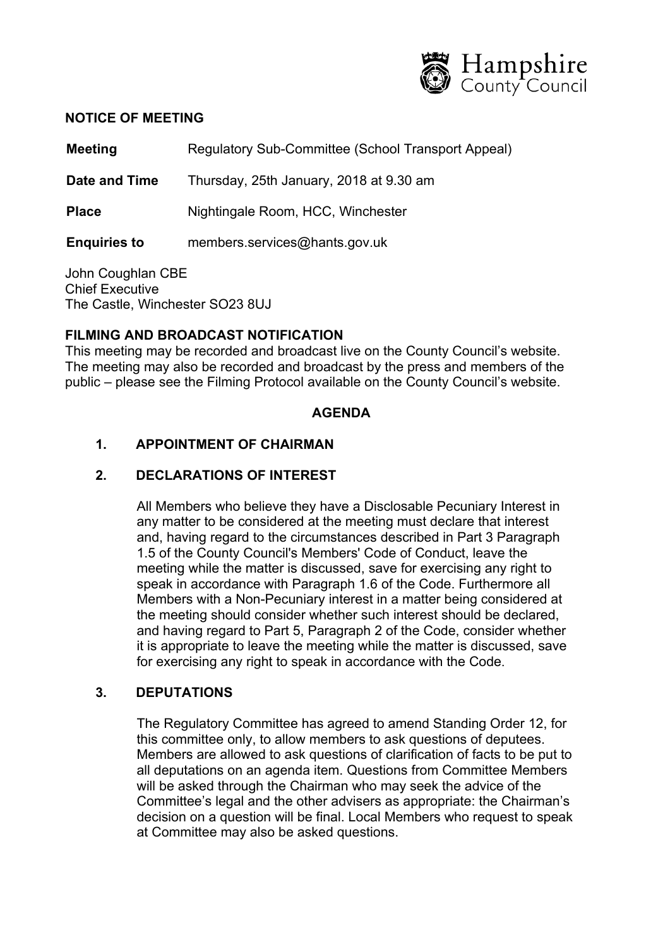

#### **NOTICE OF MEETING**

**Meeting Regulatory Sub-Committee (School Transport Appeal)** 

**Date and Time** Thursday, 25th January, 2018 at 9.30 am

**Place** Nightingale Room, HCC, Winchester

**Enquiries to** members.services@hants.gov.uk

John Coughlan CBE Chief Executive The Castle, Winchester SO23 8UJ

### **FILMING AND BROADCAST NOTIFICATION**

This meeting may be recorded and broadcast live on the County Council's website. The meeting may also be recorded and broadcast by the press and members of the public – please see the Filming Protocol available on the County Council's website.

### **AGENDA**

## **1. APPOINTMENT OF CHAIRMAN**

### **2. DECLARATIONS OF INTEREST**

All Members who believe they have a Disclosable Pecuniary Interest in any matter to be considered at the meeting must declare that interest and, having regard to the circumstances described in Part 3 Paragraph 1.5 of the County Council's Members' Code of Conduct, leave the meeting while the matter is discussed, save for exercising any right to speak in accordance with Paragraph 1.6 of the Code. Furthermore all Members with a Non-Pecuniary interest in a matter being considered at the meeting should consider whether such interest should be declared, and having regard to Part 5, Paragraph 2 of the Code, consider whether it is appropriate to leave the meeting while the matter is discussed, save for exercising any right to speak in accordance with the Code.

### **3. DEPUTATIONS**

The Regulatory Committee has agreed to amend Standing Order 12, for this committee only, to allow members to ask questions of deputees. Members are allowed to ask questions of clarification of facts to be put to all deputations on an agenda item. Questions from Committee Members will be asked through the Chairman who may seek the advice of the Committee's legal and the other advisers as appropriate: the Chairman's decision on a question will be final. Local Members who request to speak at Committee may also be asked questions.